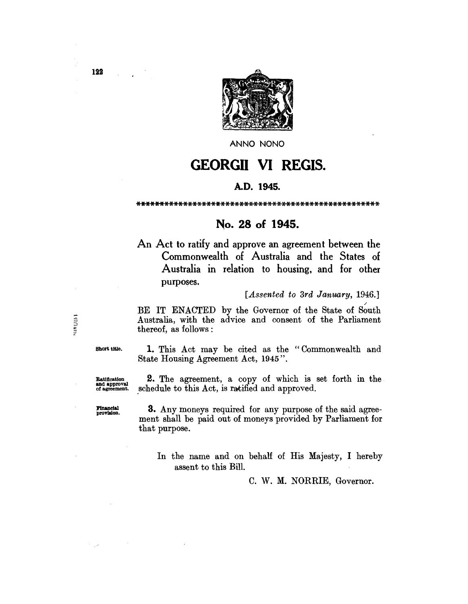

ANNO NONO

# GEORGII VI REGIS.

# A.D. 1945.

\*\*\*\*\*\*\*\*\*\*\*\*\*\*\*\*\*\*\*\*\*\*\*\*\*\*\*\*\*\*\*\*\*\*\*\*\*\*\*\*\*\*\*\*\*\*\*\*\*\*\*\*

# No. 28 of 1945.

An Act to ratify and approve an agreement between the Commonwealth of Australia and the States of Australia in relation to housing, and for other purposes.

# *[Assented to 3rd January, 1946.]*

BE IT ENACTED by the Governor of the State of South Australia, with the advice and consent of the Parliament thereof, as follows:

Short title.

Ratification and approval of agreement.

1. This Act may be cited as the "Commonwealth and State Housing Agreement Act, 1945".

2. The agreement, a copy of which is set forth in the schedule to this Act, is ratified and approved.

FInancial provla1on.

3. Any moneys required for any purpose of the said agreement shall be paid out of moneys provided by Parliament for that purpose.

In the name and on behalf of His Majesty, I hereby assent to this Bill.

C. W. M. NORRIE, Governor.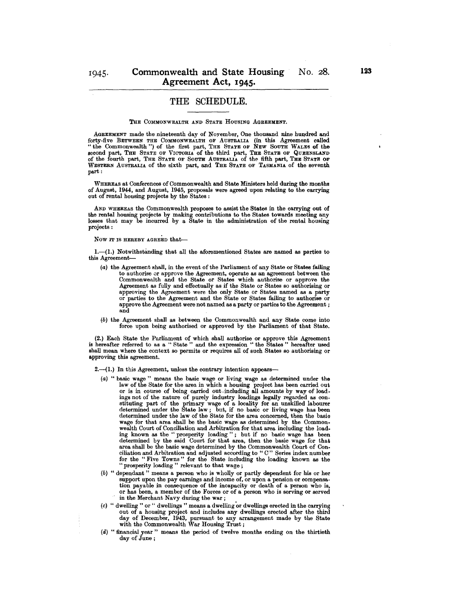# **THE** SCHEDULE.

#### THE COMMONWEALTH AND STATE HOUSING AGREEMENT.

AGREEMENT made the nineteenth day of Noyember, One thousand nine hundred and forty-five BETWEEN THE COMMONWEALTH OF AUSTRALIA (in this Agreement called "the Commonwealth") of the first part, THE STATE OF NEW SOUTH WALES of the second part, THE STATE OF VICTORIA of the third part, THE STATE OF QUEENSLAND of the fourth part, THE STATE OF SOUTH AUSTRALIA of the fifth part, THE STATE OF WESTERN AUSTRALIA of the sixth part, and THE STATE OF TASMANIA of the seventh part :

WHEREAS at Conferences of Commonwealth and State Ministers held during the months of August, 1944, and August, 1945, proposals were agreed upon relating to the carrying out of rental housing projects by the States: .

AND WHEREAS the Commonwealth proposes to assist the States in the carrying out of the rental housing projects by making contributions to the States towards meeting any losses that may be incurred by a State in the administration of the rental housing projects:

# Now IT IS HEREBY AGREED that-

1.-(1.) Notwithstanding that all the aforementioned States are named as parties to this Agreement-

- (a) the Agreement shall, in the event of the Parliament of any State or States failing to authorise or approve the Agreement, operate as an agreement between the Commonwealth and the State or States which authorise or approve the Agreement as fully and effectually as if the State or States so authorising or approving the Agreement were the only State or States named as a party or parties to the Agreement and the State or States failing to authorise or approve the Agreement were not named as a party or parties to the Agreement; and
- (b) the Agreement shall as between the Commonwealth and any State come into force upon being authorised or approved by the Parliament of that State.

(2.) Each State the Parliament of which shall authorise or approve this Agreement is hereafter referred to as a " State" and the expression "the States" hereafter used shall mean where the context so permits or requires all of such States so authorising or approving this agreement.

2.-(1.) In this Agreement, unless the contrary intention appears-

- $(a)$  "basic wage" means the basic wage or living wage as determined under the law of the State for the area in which a housing project has been carried out or is in course of being carried out ,including all amounts by way of load-<br>ings not of the nature of purely industry loadings legally regarded ings not of the nature of purely industry loadings legally regarded as con- stituting part of the primary wage of a locality for an unskilled labourer determined under the State law; but, if no basic or Jiving wage has been determined under the law of the State for the area concerned, then the basic wage for that area shall be the basic wage as determined by the Commonwealth Court of Conciliation and Arbitration for that area including the load. ing known as the "prosperity loading"; but if no basic wage has been determined by the said Court for that area, then the basic wage for that area shall be the basic wage determined by the Commonwealth Court of Conciliation and Arbitration and adjusted according to "c" Series index number for the "Five Towns" for the State including the loading known as the " prosperity loading" relevant to that wage;
- (b) "dependant" means a person who is wholly or partly dependent for his or her support upon the pay earnings and income of, or upon a pension or compensation payable in consequence of the incapacity or death of a person who is, or has been, a member of the Forces or of a person who is serving or served in the Merchant Navy during the war;
- (c) "dwelling" or " dwellings" means a dwelling 'or dwellings erected in the carrying out of a housing project and includes any dwellings erected after the third day of December, 1943, pursuant to any arrangement made by the Stato with the Commonwealth War Housing Trust;
- (d) "financial year" means the period of twelve months ending on the thirtieth day of June;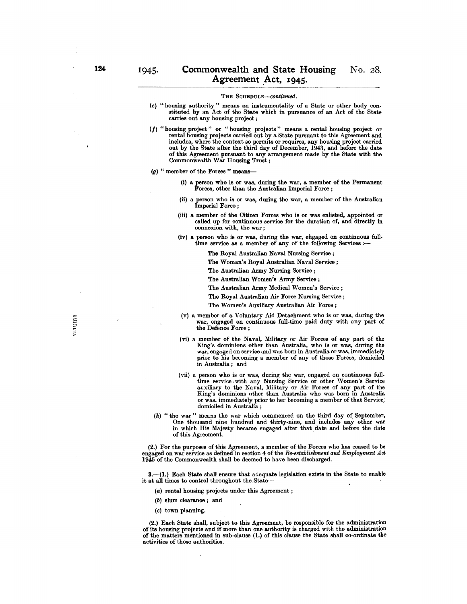- (e) "housing authority" means an instrumentality of a State or other body con. stituted by an Act of the State which in pursuance of an Act of the State carries out any housing project;
- (J) "housing project" or "housing projects" means a rental housing project or rental housing projects carried out by a State pursuant to this Agreement and includes, where the context so permits or requires, any housing project carried out by the State after the third day of December, 1943, and before the date of this Agreement pursuant to any arrangement made by the State with the Commonwealth War Housing Trust;
- $(g)$  " member of the Forces" means-
	- (i) a person who is or was, during the war, a member of the Permanent Forces, other than the Australian Imperial Force;
	- (ii) a person who is or was, during the war, a member of the Australian Imperial Force;
	- (iii) a member of the Citizen Forces who is or was enlisted, appointed or called up for continuous service for the duration of, and directly in connexion with, the war;
	- (iv) a person who is or was, during the war, engaged on continuous full· time service as a member of any of the following Services :-
		- The Royal Australian Naval Nursing Service;
		- The Woman's Royal Australian Naval Service;
		- The Australian Army Nursing Service;
		- The Australian Women's Army Service;
		- The Australian Army Medical Women's Service;
		- The Royal Australian Air Force Nursing Service;
		- The Women's Auxiliary Australian Air Force;
	- (v) a member of a Voluntary Aid Detachment who is or was, during the war, engaged on continuous full-time paid duty with any part of the Defence Force;
	- (vi) a member of the Naval, Military or Air Forces of any part of the King's dominions other than Australia, who is or was, during the war, engaged on service and was born in Australia or was, immediately prior to his becoming a member of any of those Forces, domiciled in Australia; and
	- (vii) a person who is or was, during the war, engaged on continuous full· time service with any Nursing Service or other Women's Service auxiliary to the Naval, Military or Air Forces of any part of the King's dominions other than Australia who was born in Australia or was, immediately prior to her becoming a member of that Service, domiciled in Australia;
- (h) " the war" means the war which commenced on the third day of September, One thousand nine hundred and thirty-nine, and includes any other war in which His Majesty became engaged after that date and before the date of this Agreement.

(2.) For the purposes of this Agreement, a member of the Forces who has ceased to be engaged on war service as defined in section 4 of the *Re-establishment and Employment Act* 1945 of the Commonwealth shall be deemed to have been discharged.

3.-(1.) Each State shall ensure that adcquate legislation exists in the State to enable it at all times to control throughout the State--

- (a) rental housing projects under this Agreement;
- (b) slum clearance; and
- (c) town planning.

(2.) Each State shall, subject to this Agreement, be responsible for the administration of its housing projects and if more than one authority is charged with the administration of the matters mentioned in sub·clause (1.) of this clause the State shall co·ordinate the activities of those authorities.

**NITED**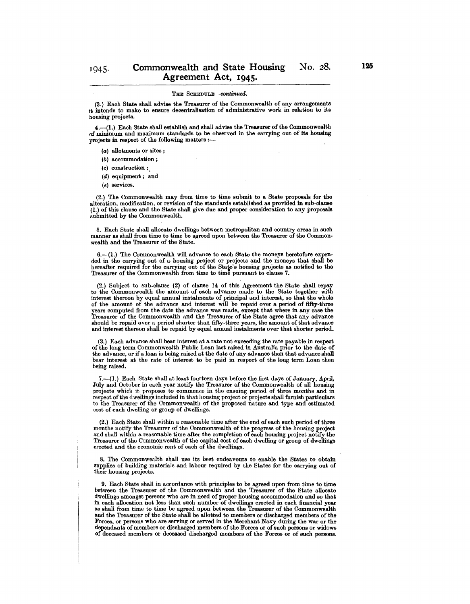(3.) Each State shall advise the Treasurer of the Commonwealth of any arrangements it intends to make to ensure decentralisation of administrative work in relation to its housing projects.

4.-(1.) Each State shall establish and shall advise the Treasurer of the Commonwealth of minimum and maximum standards to be observed in the carrying out of its housing projects in respect of the following matters :-

- (a) allotments or sites;
- (b) accommodation;
- (e) construction;.
- (d) equipment; and
- (e) services.

(2.) The Commonwealth may from time to time submit to a State proposals for the alteration, modification, or revision of the standards established as provided in sub·clause (I.) of this clause and the State shall give due and proper consideration to any proposals submitted by the Commonwealth.

5. Each State shall allocate dwellings between metropolitan and country areas in such manner as shall from time to time be agreed upon between the Treasurer of the Common· wealth and the Treasurer of the State.

6.--(1.) The Commonwealth will advance to each State the moneys heretofore expended in the carrying out of a housing project or projects and the moneys that shall be hereafter required for the carrying out of the State's housing projects as notified to the Treasurer of the Commonwealth from time to time pursuant to clause 7.

(2.) Subject to sub. clause (2) of clause 14 of this Agreement the State shall repay to the Commonwealth the amount of each advance made to the State together with interest thereon by equal annual instalments of principal and interest, so that the whole of the amount of the advance and interest will be repaid over a period of fifty.three years computed from the date the advance was made, except that where in any case the Treasurer of the Commonwealth and the Treasurer of the State agree that any advance should be repaid over a period shorter than fifty.three years, the amount of that advance and interest thereon shall be repaid by equal annual instalments over that shorter period.

(3.) Each advance shall bear interest at a rate not exceeding the rate payable in respect of the long term Commonwealth Public Loan last raised in Australia prior to the date of the advance, or if a loan is being raised at the date of any advance then that advance shall bear interest at the rate of interest to be paid in respect of the long term Loan then being raised.

7.--(1.) Each State shall at least fourteen days before the first days of January, April. July and October in each year notify the Treasurer of the Commonwealth of all housing projects which it proposes to commence in the ensuing period of three months and in respect of the dwellings included in that housing project or projects shall furnish particulars to the Treasurer of the Commonwealth of the proposed nature and type and estimated cost of each dwelling or group of dwellings.

(2.) Each State shall within a reasonable time after the end of each such period of three months notify the Treasurer of the Commonwealth of the progress of the housing project and shall within a reasonable time after the completion of each housing project notify the Treasurer of the Commonwealth of the capital cost of each dwelling or group of dwellings erected and the economic rent of each of the dwellings.

8. The Commonwealth shall use its best endeavours to enable the States to obtain supplies of building materials and labour required by the States for the carrying out of their housing projects.

9. Each State shall in accordance with principles to be agreed upon from time to time between the Treasurer of the Commonwealth and the Treasurer of the State allocate dwellings amongst persons who are in need of proper housing accommodation and so that in each allocation not less than such number of dwellings el'ected in each financial year as shall from time to time be agreed upon between the Treasurer of the Commonwealth and the Treasurer of the State shall be allotted to members or discharged members of the Forces, or persons who are serving or served in the Merchant Navy during the war or the dependants of members or discharged members of the Forces or of such persons or widows of deceased members or deceased discharged members of the Forces or of such persons.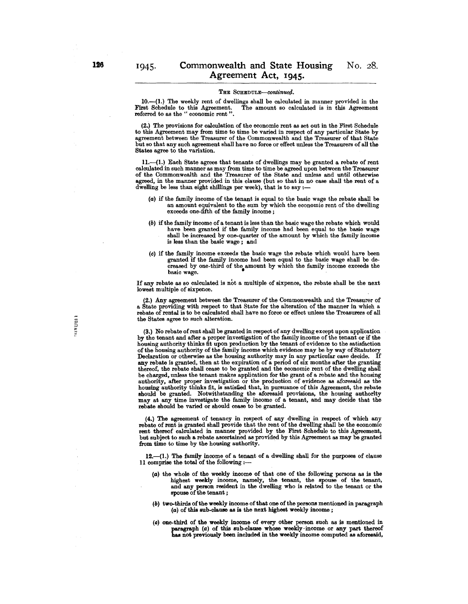$10.$ - $(1.)$  The weekly rent of dwellings shall be calculated in manner provided in the The amount so calculated is in this Agreement. First Schedule to this Agreement.<br>referred to as the " economic rent".

(2.) The provisions for calculation of the economic rent as set out in the First Schedule to this Agreement may from time to time be varied in respect of any particular State by agreement between the Treasurer of the Commonwealth and the Treasurer of that State but so that any such agreement shall have no force or effect unless the Treasurers of all the States agree to the variation.

11.-(1.) Each State agrees that tenants of dwellings may be granted a rebate of rent calculated in such manner as may from time to time be agreed upon between the Treasurer of the Commonwealth and the Treasurer of the State and unless and until otherwise agreed, in the manner provided in this clause (but so that in no case shall the rent of a dwelling be less than eight shillings per week), that is to say  $:$ --

- (a) if the family income of the tenant is equal to the basic wage the rebate shall be an amount equivalent to the sum by which the economic rent of the dwelling exceeds one-fifth of the family income;
- (b) if the family income of a tenant is less than the basic wage the rebate which would have been granted if the family income had been equal to the basic wage shall be increased by one-quarter of the amount by which the family income is less than the basic wage; and
- (0) if the family income exceeds the basic wage the rebate which would have been granted if the family income had been equal to the basic wage shall be de· granted if the family income had been equal to the basic wage shall be decreased by one-third of the amount by which the family income exceeds the basic wage.

If any rebate as so calculated is not a multiple of sixpence, the rebate shall be the next lowest multiple of sixpence.

(2.) Any agreement between the Treasurer of the Commonwealth and the Treasurer of a State providing with respect to that State for the alteration of the manner in which a rebate of rental is to be calculated shall have no force or effect unless the Treasurers of all the States agree to such alteration.

(3.) No rebate of rent shall be granted in respect of any dwelling except upon application by the tenant and after a proper investigation of the family income of the tenant or if the housing authority thinks fit upon production by the tenant of evidence to the satisfaction of the housing authority of the family income which evidence may be by way of Statutory Declaration or otherwise as the housing authority may in any particular case decide. If any rebate is granted, then at the expiration of a period of six months after the granting thereof, the rebate shall cease to be granted and the economic rent of the dwelling shall be charged, unless the tenant makes application for the grant of a rebate and the housing authority, after proper investigation or the production of evidence as aforesaid as the housing authority thinks fit, is satisfied that, in pursuance of this Agreement, the rebate should be granted. Notwithstanding the aforesaid provisions, the housing authority may at any time investigate the family income of a tenant, and may decide that the rebate should be varied or should cease to be granted.

(4.) The agreement of tenancy in respect of any dwelling in respect of which any rebate of rent is granted shall provide that the rent of the dwelling shall be the economic rent thereof calculated in manner provided by the First Schedule to this Agreement, but subject to such a rebate ascertained as provided by this Agreement as may be granted from time to time by the housing authority.

12.-(1.) The family income of a tenant of a dwelling shall for the purposes of clause 11 comprise the total of the following  $:$ -

- (a) the whole of the weekly income of that one of the following persons as is the highest weekly income, namely, the tenant, the spouse of the tenant, and any person resident in the dwelling who is related to the tenant or the spouse of the tenant;
- $(b)$  two-thirds of the weekly income of that one of the persons mentioned in paragraph (a) of this sub-clause as is the next highest weekly income;
- (e) one-third of the weekly income of every other person such as is mentioned in paragraph (a) of this sub-clause whose weekly-income or any part thereof has not previously been included in the weekly income computed as aforesaid,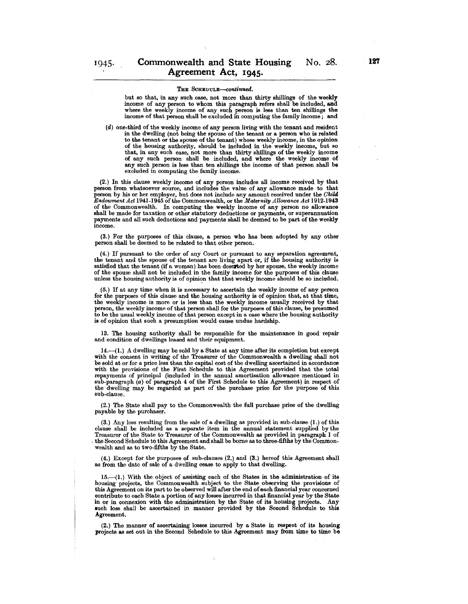but so that, in any such case, not more than thirty shillings of the weekly income of any person to whom this paragraph refers shall be included, and where the weekly income of any such person is less than ten shillings the income of that person shall be excluded in computing the family income; and

(d) one-third of the weekly income of any person living with the tenant and resident in the dwelling (not being the spouse of the tenant or a person who is related to the tenant or the spouse of the tenant) whose weekly income, in the opinion of the housing authority, should be included in the weekly income, but so that, in any such case, not more than thirty shillings of the weekly income of any such person shall be included, and where the weekly income of any such person is less than ten shillings the income of that person shall be excluded in computing the family income.

(2.) In this clause weekly income of any person includes all income received by that person from whatsoever source, and includes the value of any allowance made to that person by his or her employer, but does not include any amount received under the *Child Endowment Act 1941-1945 of the Commonwealth, or the Maternity Allowance Act 1912-1943* of the Commonwealth. In computing the weekly income of any person no allowance shall be made for taxation or other statutory deductions or payments, or superannuation payments and all such deductions and payments shall be deemed to be part of the weekly income.

(3.) For the purposes of this clause, a person who has been adopted by any other person shall be deemed to be related to that other person.

(4.) If pursuant to the order of any Court or pursuant to any separation agreement, the tenant and the spouse of the tenant are living apart or, if the housing authority is satisfied that the tenant (if a woman) has been descried by her spouse, the weekly income of the spouse shall not be included in the family income for the purposes of this clause unless the housing authority is of opinion that that weekly income should be so included.

(5.) If at any time when it is necessary to ascertain the weekly income of any person for the purposes of this clause and the housing authority is of opinion that, at that time, the weekly income is more or is less than the weekly income usually received by that person, the weekly income of that person shall for the purposes of this clause, be presumed to be the usual weekly income of that person except in a case where the housing authority is of opinion that such a presumption would cause undue hardship.

13. The housing authority shall be responsible for the maintenance in good repair and condition of dwellings leased and their equipment.

14.-(1.) A dwelling may be sold by a State at any time after its completion but except with the consent in writing of the Treasurer of the Commonwealth a dwelling shall not be sold at or for a price less than the capital cost of the dwelling ascertained in accordance with the provisions of the First Schedule to this Agreement provided that the total repayments of principal (included in the annual amortisation allowance mentioned in sub-paragraph (a) of paragraph 4 of the First Schedule to this Agreement) in respect of the dwelling may be regarded as part of the purchase price for the purpose of this sub-clause.

(2.) The State shall pay to the Commonwealth the full purchase price of the dwelling payable by the purchaser.

(3.) Any loss resulting from the sale of a dwelling as provided in sub-clause (1.) of this clause shall be included as a separate item in the annual statement supplied by the the Second Schedule to this Agreement and shall be borne as to three-fifths by the Commonwealth and as to two-fifths by the State.

(4.) Except for the purposes of sub-clauses (2.) and (3.) hereof this Agreement shall as from the date of sale of a dwelling cease to apply to that dwelling.

 $15.$ -(1.) With the object of assisting each of the States in the administration of its housing projects, the Commonwealth subject to the State observing the provisions of this Agreement on its part to be observed will after the end of each financial year concerned contribute to each State a portion of any losses incurred in that financial year by the State in or in connexion with the administration by the State of its housing projects. Any such loss shall be ascertained in manner provided by the Second Schedule to this Agreement\_

 $(2.)$  The manner of ascertaining losses incurred by a State in respect of its housing projects as set out in the Second Schedule to this Agreement may from time to time be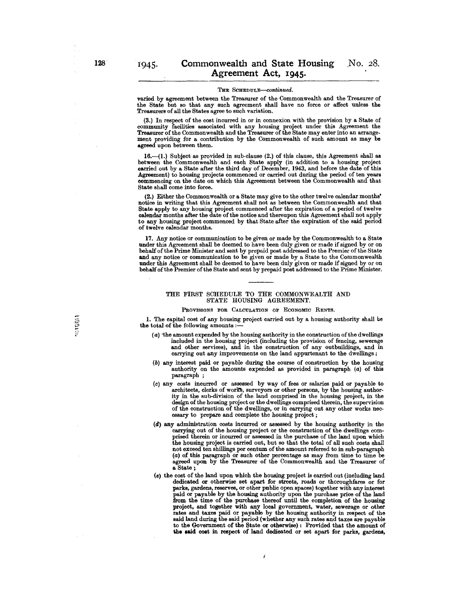varied by agreement between the Treasurer of the Commonwealth and the Treasurer of the State but so that any such agreement shall have no force or affect unless the Treasurers of all the States agree to such variation.

(3.) In respect of the cost incurred in or in connexion with the provision by a State of community facilities associated with any housing project under this Agreement the Treasurer of the Commonwealth and the Treasurer of the State may enter into an arrangement providing for a contribution by the Commonwealth of such amount as may be agreed upon between them.

16.--(1.) Subject as provided in sub-clause (2.) of this clause, this Agreement shall as between the Commonwealth and each State apply (in addition to a housing project carried out by a State after the third day of December, 1943, and before the date ofthis Agreement) to housing projects commenced or carried out during the period of ten years commencing on the date on which this Agreement between the Commonwealth and that State shall come into force.

(2.) Either the Commonwealth or a State may give to the other twelve calendar months' notice in writing that this Agreement shall not as between the Commonwealth and that State apply to any housing project commenced after the expiration of a period of twelve calendar months after the date of the notice and thereupon this Agreement shall not apply to any housing project commenced by that State after the expiration of the said period of twelve calendar months.

17. Any notice or communication to be given or made by the Commonwealth to a State under this Agreement shall be deemed to have been duly given or made if signed by or on behalf of the Prime Minister and sent by prepaid post addressed to the Premier of the State and any notice or communication to be given or made by a State to the Commonwealth under this Agreement shall be deemed to have been duly given or made if signed by or on behalf ofthe Premier of the State and sent by prepaid post addressed to the Prime Minister.

## THE FIRST SCHEDULE TO THE COMMONWEALTH AND STATE HOUSING AGREEMENT.

PROVISIONS FOR CALCULATION OF ECONOMIC RENTS.

1. The eapitaI cost of any housing project carried out by a housing authority shall be the total of the following amounts :-

- (a) ·the amount expended by the housing authority in the construction of the dwellings included in the housing project (including the provision of fencing, sewerage and other services), and in the construction of any outbuildings, and in carrying out any improvements on the land appurtenant to the dwellings;
- (6) any interest paid or payable during the course of construction by the housing authority on the amounts expended as provided in paragraph (a) of this paragraph;
- (0) any costs incurred or assessed by way of fees or salaries paid or payable to architects, clerks of works, surveyors or other persons, by the housing authority in the sub-division of the land comprised in the housing project, in the design of the housing project or the dwellings comprised therein, the supervision of the construction of the dwellings, or in carrying out any other works nec- essary to prepare and complete the housing project;
- (d) any administration costs incurred or assessed by the housing authority in the prised therein or incurred or assessed in the purchase of the land upon which the housing project is carried out, but so that the total of all such costs shall not exceed ten shillings per centum of the amount referred to in sub-paragraph (a) of this paragraph or such other percentage as may from time to time be agreed upon by the Treasurer of the Commonwealth and the Treasurer of a State;
- (e) the cost of the land upon which the housing project is carried out (including land dedicated or otherwise set apart for streets, roads or thoroughfares or for parks, gardens, reserves, or other public open spaces) together with any interest paid or payable by the housing authority upon the purchase price of the land from the time of the purchase thereof until the completion of the housing project, and together with any local government, water, sewerage or other rates and taxes paid or payable by the housing authority in respect of the said land during the said period (whether any such rates and taxes are payable to the Government of the State or otherwise): Provided that the amount of the said cost in respect of land dedicated or set apart for parks, gardens,

j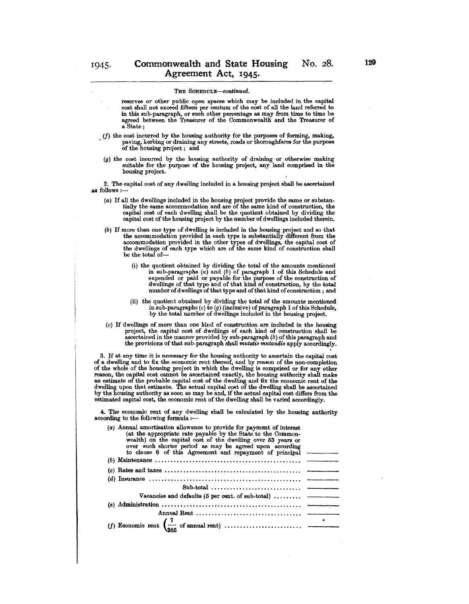- reserves or other public open spaces which may be included in the capital cost shall not exceed fifteen per centum of the cost of all the land referred to in this sub.paragraph, or such other percentage as may from time to time be agreed between the Treasurer of the Commonwealth and the Treasurer of a State;
- (f) the cost incurred by the housing authority for the purposes of forming, making, paving, kerbing or draining any streets, roads or thoroughfares for the purpose of the housing project; and
- (g) the cost incurred by the housing authority of draining or otherwise making suitable for the purpose of the housing project, any land comprised in the housing project.

2. The capital cost of any dwelling included in a housing project shall be ascertained as follows :-

- (a) If all the dwellings included in the housing project provide the same or substan. tially the same accommodation and are of the same kind of construction, the capital cost of each dwelling shall be the quotient obtained by dividing the capital cost of the housing project by the number of dwellings included therein.
- (b) If more than one type of dwelling is included in the housing project and so that the accommodation provided in each type is substantially different from the accommodation provided in the other types of dwellings, the capital cost of the dwellings of each type which are of the same kind of construction shall be the total of-
	- (i) the quotient obtained by dividing the total of the amounts mentioned in sub.paragraphs (a) and (b) of paragraph I of this Schedule and expended or paid or payable for the purpose of the construction of dwellings of that type and of that kind of construction, by the total number of dwellings of that type and of that kind of construction; and
	- (ii) the quotient obtained by dividing the total of the amounts mentioned in sub-paragraphs  $(c)$  to  $(g)$  (inclusive) of paragraph 1 of this Schedule, by the total number of dwellings included in the housing project.
- (c) If dwellings of more than one kind of construction· are included in the housing project, the capital cost of dwellings of each kind of construction shall be ascertained in the manner provided by sub-paragraph (b) of this paragraph and the provisions of that sub-paragraph shall *mutatis mutandis* apply accordingly.

3. If at any time it is necessary for the housing authority to ascertain the capital cost of a dwelling and to fix the economic rent thereof, and by reason of the non·completion of the whole of the housing project in which the dwelling is comprised or for any other reason, the capital cost cannot be ascertained exactly, the housing authority shall make an estimate of the probable capital cost of the dwelling and fix the economic rent of the dwelling upon that estimate. The actual capital cost of the dwelling shall be ascertained by the housing authority as soon as may be and, if the actual capital cost differs from the estimated capital cost, the economic rent of the dwelling shall be varied accordingly.

4. The economic rent of any dwelling shall be calculated by the housing authority according to the following formula :-

| (a) Annual amortisation allowance to provide for payment of interest<br>(at the appropriate rate payable by the State to the Common-<br>wealth) on the capital cost of the dwelling over 53 years or<br>over such shorter period as may be agreed upon according<br>to clause 6 of this Agreement and repayment of principal |  |
|------------------------------------------------------------------------------------------------------------------------------------------------------------------------------------------------------------------------------------------------------------------------------------------------------------------------------|--|
|                                                                                                                                                                                                                                                                                                                              |  |
|                                                                                                                                                                                                                                                                                                                              |  |
|                                                                                                                                                                                                                                                                                                                              |  |
|                                                                                                                                                                                                                                                                                                                              |  |
| Vacancies and defaults ( $5$ per cent. of sub-total)                                                                                                                                                                                                                                                                         |  |
|                                                                                                                                                                                                                                                                                                                              |  |
|                                                                                                                                                                                                                                                                                                                              |  |
|                                                                                                                                                                                                                                                                                                                              |  |
|                                                                                                                                                                                                                                                                                                                              |  |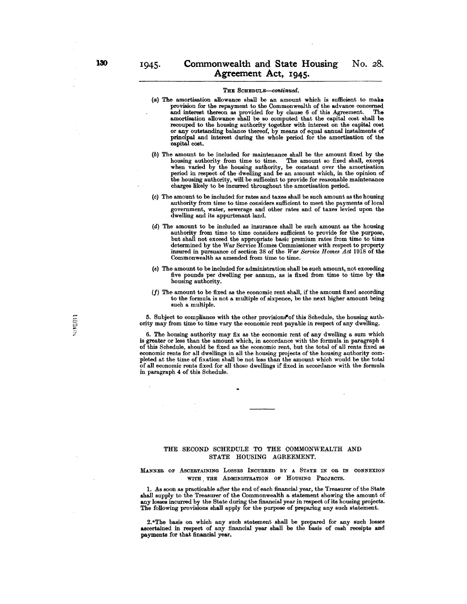- (a) The amortisation allowance shall be an amount which is sufficient to make provision for the repayment to the Commonwealth of the advance concerned<br>and interest thereon as provided for by clause 6 of this Agreement. The and interest thereon as provided for by clause 6 of this Agreement. amortisation allowance shall be so computed that the capital cost shall be or any outstanding balance thereof, by means of equal annual instalments of principal and interest during the whole period for the amortisation of the capital cost.
- (b) The amount to be included for maintenance shall be the amount fixed by the housing authority from time to time. The amount so fixed shall, except when varied by the housing authority, be constant over the amortisation period in respect of the dwelling and be an amount which, in the opinion of the housing authority, will be sufficeint to provide for reasonable maintenance charges likely to be incurred throughout the amortisation period.
- (c) The amount to be included for rates and taxes shall be such amount as the housing authority from time to time considers sufficient to meet the payments of local government, water, sewerage and other rates and of taxes levied upon the dwelling and its appurtenant land.
- (d) The amount to be included as insurance shall be such amount as the housing authority from time to time considers sufficient to provide for the purpose, but shall not exceed the appropriate basic premium rates from time to time determined by the War Service Homes Commissioner with respect to property insured in pursuance of section 38 of the *War Service Homes Act* 1918 of the Commonwealth as amended from time to time.
- (e) The amount to be included for administration shall be such amount, not exceeding five pounds per dwelling per annum, as is fixed from time to time by the housing authority.
- (f) The amount to be fixed as the economic rent shall, if the amount fixed according to the formula is not a multiple of sixpence, be the next higher amount being such a multiple.

5. Subject to compliance with the other provisions of this Schedule, the housing authority may from time to time vary the economic rent payable in respect of any dwelling.

6. The housing authority may fix as the economic rent of any dwelling a sum which is greater or less than the amount which, in accordance with the formula in paragraph 4 of this Schedule, should be fixed as the economic rent, but the total of all rents fixed as economic rents for all dwellings in all the housing projects of the housing authority completed at the time of fixation shall be not less than the amount which would be the total of all economic rents fixed for all those dwellings if fixed in accordance with the formula in paragraph 4 of this Schedule.

# THE SECOND SCHEDULE TO THE COMMONWEALTH AND STATE HOUSING AGREEMENT.

:MANNER OF ASCERTAINING LOSSES INCURRED BY A STATE IN OR IN CONNEXION WITH THE ADMINISTRATION OF HOUSING PROJECTS.

1. As soon as practicable after the end of each financial year, the Treasurer of the State shall supply to the Treasurer of the Commonwealth a statement showing the amount of any losses incurred by the State during the financial year in respect of its housing projects. The following provisions shall apply for the purpose of preparing any such statement.

2. The basis on which any such statement shall be prepared for any such losses ascertained in respect of any financial year shall be the basis of cash receipts and payments for that financial year.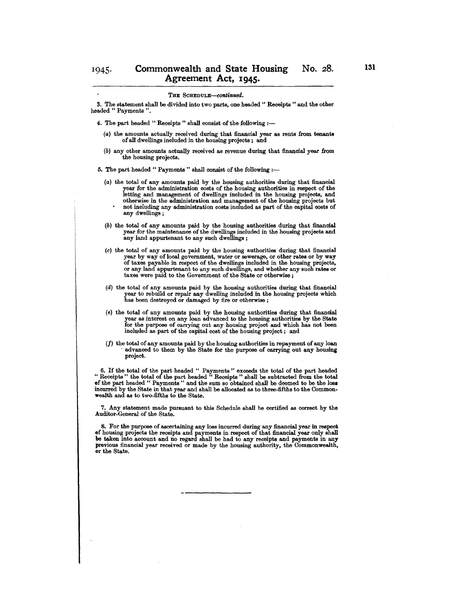3. The statement shall be divided into two parts, one headed " Receipts " and the other headed " Payments".

- 4. The part headed " Receipts" shall consist of the following  $:$ --
	- (a) the amounts actually received during that financial year as rents from tenants of all dwellings included in the housing projects; and
	- (b) any other amounts actually received as revenue during that financial year from the housing projects.

5. The part headed " Payments " shall consist of the following :-

- (a) the total of any amounts paid by the housing authorities during that financial year for the administration costs of the housing authorities in respect of the letting and management of dwellings included in the housing projects, and otherwise in the administration and management of the housing projects but not including any administration costs included as part of the capital costs of any dwellings;
- (b) the total of any amounts paid by the housing authorities during that financial year for the maintenance of the dwellings included in the housing projeots and any land appurtenant to any such dwellings;
- (c) the total of any amounts paid by the housing authorities during that finanoial year by way of local government, water or sewerage, or other rates or by way of taxes payable in respect of the dwellings inoluded in the housing projeots, or any land appurtenant to any suoh dwellings, and whether any suoh rates or taxes were paid to the Government of the State or otherwise ;
- (d) the total of any amounts paid by the housing authorities during that finanoial year to rebuild or repair any dwelling included in the housing projects whioh has been destroyed or damaged by fire or otherwise ;
- (e) the total of any amounts paid by the housing authorities during that financial year as interest on any loan advanced to the housing authorities by the State for the purpose of oarrying out any housing project and whioh has not been included as part of the capital cost of the housing project; and
- (f) the total of any amounts paid by the housing authorities in repayment of any loan . advanced to them by the State for the purpose of carrying out any housing projeot.

6. If the total of the part headed " Payments" exceeds the total of the part headed " Receipts" the total of the part headed" Receipts" shall be subtraoted from the total of the part headed " Payments" and the sum so obtained shall be deemed to be the loss inourred by the State in that year and shall be allooated as to three-fifths to the Commonwealth and as to two-fifths to the State.

7. Any statement made pursuant to this Schedule shall be oertified as oorreot by the Auditor-General of the State.

8. For the purpose of asoertaining any loss incurred during any finanoial year in respeot of housing projects the receipts and payments in respect of that financial year only shall be taken into account and no regard shall be had to any receipts and payments in any previous financial year received or made by the housing authority, the Commonwealth, or the State.